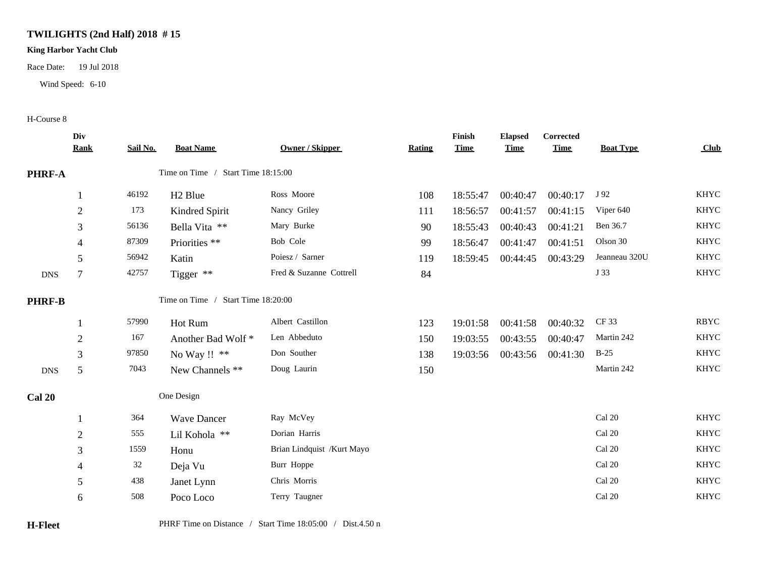## **TWILIGHTS (2nd Half) 2018 # 15**

## **King Harbor Yacht Club**

Race Date: 19 Jul 2018

Wind Speed: 6-10

## H-Course 8

|               | Div<br><b>Rank</b> | Sail No. | <b>Boat Name</b>                   | Owner / Skipper            | <b>Rating</b> | Finish<br><b>Time</b> | <b>Elapsed</b><br><b>Time</b> | <b>Corrected</b><br><b>Time</b> | <b>Boat Type</b>        | <b>Club</b> |
|---------------|--------------------|----------|------------------------------------|----------------------------|---------------|-----------------------|-------------------------------|---------------------------------|-------------------------|-------------|
| PHRF-A        |                    |          | Time on Time / Start Time 18:15:00 |                            |               |                       |                               |                                 |                         |             |
|               |                    | 46192    | H <sub>2</sub> Blue                | Ross Moore                 | 108           | 18:55:47              | 00:40:47                      | 00:40:17                        | J 92                    | <b>KHYC</b> |
|               | $\boldsymbol{2}$   | 173      | Kindred Spirit                     | Nancy Griley               | 111           | 18:56:57              | 00:41:57                      | 00:41:15                        | Viper 640               | <b>KHYC</b> |
|               | 3                  | 56136    | Bella Vita **                      | Mary Burke                 | 90            | 18:55:43              | 00:40:43                      | 00:41:21                        | Ben 36.7                | <b>KHYC</b> |
|               | 4                  | 87309    | Priorities **                      | Bob Cole                   | 99            | 18:56:47              | 00:41:47                      | 00:41:51                        | Olson 30                | <b>KHYC</b> |
|               | 5                  | 56942    | Katin                              | Poiesz / Sarner            | 119           | 18:59:45              | 00:44:45                      | 00:43:29                        | Jeanneau 320U           | <b>KHYC</b> |
| <b>DNS</b>    | $\overline{7}$     | 42757    | Tigger **                          | Fred & Suzanne Cottrell    | 84            |                       |                               |                                 | J 33                    | <b>KHYC</b> |
| <b>PHRF-B</b> |                    |          | Time on Time / Start Time 18:20:00 |                            |               |                       |                               |                                 |                         |             |
|               |                    | 57990    | Hot Rum                            | Albert Castillon           | 123           | 19:01:58              | 00:41:58                      | 00:40:32                        | CF 33                   | <b>RBYC</b> |
|               | $\boldsymbol{2}$   | 167      | Another Bad Wolf *                 | Len Abbeduto               | 150           | 19:03:55              | 00:43:55                      | 00:40:47                        | Martin 242              | <b>KHYC</b> |
|               | 3                  | 97850    | No Way !! **                       | Don Souther                | 138           | 19:03:56              | 00:43:56                      | 00:41:30                        | $B-25$                  | <b>KHYC</b> |
| ${\rm DNS}$   | 5                  | 7043     | New Channels **                    | Doug Laurin                | 150           |                       |                               |                                 | Martin 242              | <b>KHYC</b> |
| <b>Cal 20</b> |                    |          | One Design                         |                            |               |                       |                               |                                 |                         |             |
|               | -1                 | 364      | <b>Wave Dancer</b>                 | Ray McVey                  |               |                       |                               |                                 | Cal 20                  | <b>KHYC</b> |
|               | $\sqrt{2}$         | 555      | Lil Kohola **                      | Dorian Harris              |               |                       |                               |                                 | Cal 20                  | <b>KHYC</b> |
|               | 3                  | 1559     | Honu                               | Brian Lindquist /Kurt Mayo |               |                       |                               |                                 | Cal 20                  | <b>KHYC</b> |
|               | 4                  | 32       | Deja Vu                            | Burr Hoppe                 |               |                       |                               |                                 | Cal 20                  | <b>KHYC</b> |
|               | 5                  | 438      | Janet Lynn                         | Chris Morris               |               |                       |                               |                                 | $\operatorname{Cal}$ 20 | <b>KHYC</b> |
|               | 6                  | 508      | Poco Loco                          | Terry Taugner              |               |                       |                               |                                 | Cal 20                  | <b>KHYC</b> |
|               |                    |          |                                    |                            |               |                       |                               |                                 |                         |             |

**H-Fleet** PHRF Time on Distance / Start Time 18:05:00 / Dist.4.50 n